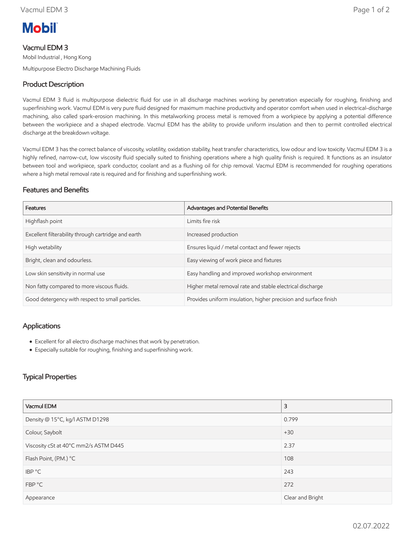

# Vacmul EDM 3

Mobil Industrial , Hong Kong Multipurpose Electro Discharge Machining Fluids

## Product Description

Vacmul EDM 3 fluid is multipurpose dielectric fluid for use in all discharge machines working by penetration especially for roughing, finishing and superfinishing work. Vacmul EDM is very pure fluid designed for maximum machine productivity and operator comfort when used in electrical-discharge machining, also called spark-erosion machining. In this metalworking process metal is removed from a workpiece by applying a potential difference between the workpiece and a shaped electrode. Vacmul EDM has the ability to provide uniform insulation and then to permit controlled electrical discharge at the breakdown voltage.

Vacmul EDM 3 has the correct balance of viscosity, volatility, oxidation stability, heat transfer characteristics, low odour and low toxicity. Vacmul EDM 3 is a highly refined, narrow-cut, low viscosity fluid specially suited to finishing operations where a high quality finish is required. It functions as an insulator between tool and workpiece, spark conductor, coolant and as a flushing oil for chip removal. Vacmul EDM is recommended for roughing operations where a high metal removal rate is required and for finishing and superfinishing work.

#### Features and Benefits

| Features                                            | Advantages and Potential Benefits                                |
|-----------------------------------------------------|------------------------------------------------------------------|
| Highflash point                                     | Limits fire risk                                                 |
| Excellent filterability through cartridge and earth | Increased production                                             |
| High wetability                                     | Ensures liquid / metal contact and fewer rejects                 |
| Bright, clean and odourless.                        | Easy viewing of work piece and fixtures                          |
| Low skin sensitivity in normal use                  | Easy handling and improved workshop environment                  |
| Non fatty compared to more viscous fluids.          | Higher metal removal rate and stable electrical discharge        |
| Good detergency with respect to small particles.    | Provides uniform insulation, higher precision and surface finish |

#### Applications

- Excellent for all electro discharge machines that work by penetration.
- Especially suitable for roughing, finishing and superfinishing work.

### Typical Properties

| Vacmul EDM                            | 3                |  |
|---------------------------------------|------------------|--|
| Density @ 15°C, kg/l ASTM D1298       | 0.799            |  |
| Colour, Saybolt                       | $+30$            |  |
| Viscosity cSt at 40°C mm2/s ASTM D445 | 2.37             |  |
| Flash Point, (P.M.) °C                | 108              |  |
| IBP °C                                | 243              |  |
| FBP °C                                | 272              |  |
| Appearance                            | Clear and Bright |  |